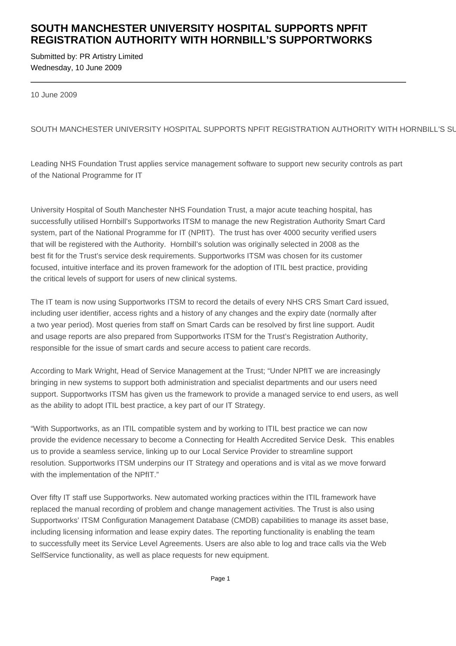## **SOUTH MANCHESTER UNIVERSITY HOSPITAL SUPPORTS NPFIT REGISTRATION AUTHORITY WITH HORNBILL'S SUPPORTWORKS**

Submitted by: PR Artistry Limited Wednesday, 10 June 2009

10 June 2009

SOUTH MANCHESTER UNIVERSITY HOSPITAL SUPPORTS NPFIT REGISTRATION AUTHORITY WITH HORNBILL'S SU

Leading NHS Foundation Trust applies service management software to support new security controls as part of the National Programme for IT

University Hospital of South Manchester NHS Foundation Trust, a major acute teaching hospital, has successfully utilised Hornbill's Supportworks ITSM to manage the new Registration Authority Smart Card system, part of the National Programme for IT (NPfIT). The trust has over 4000 security verified users that will be registered with the Authority. Hornbill's solution was originally selected in 2008 as the best fit for the Trust's service desk requirements. Supportworks ITSM was chosen for its customer focused, intuitive interface and its proven framework for the adoption of ITIL best practice, providing the critical levels of support for users of new clinical systems.

The IT team is now using Supportworks ITSM to record the details of every NHS CRS Smart Card issued, including user identifier, access rights and a history of any changes and the expiry date (normally after a two year period). Most queries from staff on Smart Cards can be resolved by first line support. Audit and usage reports are also prepared from Supportworks ITSM for the Trust's Registration Authority, responsible for the issue of smart cards and secure access to patient care records.

According to Mark Wright, Head of Service Management at the Trust; "Under NPfIT we are increasingly bringing in new systems to support both administration and specialist departments and our users need support. Supportworks ITSM has given us the framework to provide a managed service to end users, as well as the ability to adopt ITIL best practice, a key part of our IT Strategy.

"With Supportworks, as an ITIL compatible system and by working to ITIL best practice we can now provide the evidence necessary to become a Connecting for Health Accredited Service Desk. This enables us to provide a seamless service, linking up to our Local Service Provider to streamline support resolution. Supportworks ITSM underpins our IT Strategy and operations and is vital as we move forward with the implementation of the NPfIT."

Over fifty IT staff use Supportworks. New automated working practices within the ITIL framework have replaced the manual recording of problem and change management activities. The Trust is also using Supportworks' ITSM Configuration Management Database (CMDB) capabilities to manage its asset base, including licensing information and lease expiry dates. The reporting functionality is enabling the team to successfully meet its Service Level Agreements. Users are also able to log and trace calls via the Web SelfService functionality, as well as place requests for new equipment.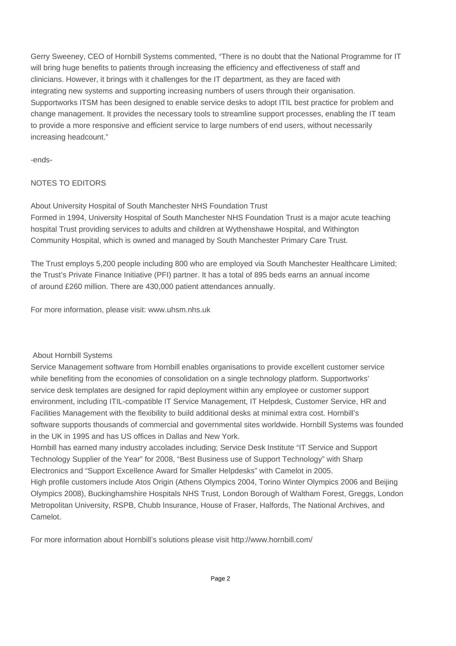Gerry Sweeney, CEO of Hornbill Systems commented, "There is no doubt that the National Programme for IT will bring huge benefits to patients through increasing the efficiency and effectiveness of staff and clinicians. However, it brings with it challenges for the IT department, as they are faced with integrating new systems and supporting increasing numbers of users through their organisation. Supportworks ITSM has been designed to enable service desks to adopt ITIL best practice for problem and change management. It provides the necessary tools to streamline support processes, enabling the IT team to provide a more responsive and efficient service to large numbers of end users, without necessarily increasing headcount."

-ends-

## NOTES TO EDITORS

About University Hospital of South Manchester NHS Foundation Trust Formed in 1994, University Hospital of South Manchester NHS Foundation Trust is a major acute teaching hospital Trust providing services to adults and children at Wythenshawe Hospital, and Withington Community Hospital, which is owned and managed by South Manchester Primary Care Trust.

The Trust employs 5,200 people including 800 who are employed via South Manchester Healthcare Limited; the Trust's Private Finance Initiative (PFI) partner. It has a total of 895 beds earns an annual income of around £260 million. There are 430,000 patient attendances annually.

For more information, please visit: www.uhsm.nhs.uk

## About Hornbill Systems

Service Management software from Hornbill enables organisations to provide excellent customer service while benefiting from the economies of consolidation on a single technology platform. Supportworks' service desk templates are designed for rapid deployment within any employee or customer support environment, including ITIL-compatible IT Service Management, IT Helpdesk, Customer Service, HR and Facilities Management with the flexibility to build additional desks at minimal extra cost. Hornbill's software supports thousands of commercial and governmental sites worldwide. Hornbill Systems was founded in the UK in 1995 and has US offices in Dallas and New York.

Hornbill has earned many industry accolades including; Service Desk Institute "IT Service and Support Technology Supplier of the Year" for 2008, "Best Business use of Support Technology" with Sharp Electronics and "Support Excellence Award for Smaller Helpdesks" with Camelot in 2005. High profile customers include Atos Origin (Athens Olympics 2004, Torino Winter Olympics 2006 and Beijing Olympics 2008), Buckinghamshire Hospitals NHS Trust, London Borough of Waltham Forest, Greggs, London Metropolitan University, RSPB, Chubb Insurance, House of Fraser, Halfords, The National Archives, and

Camelot.

For more information about Hornbill's solutions please visit http://www.hornbill.com/